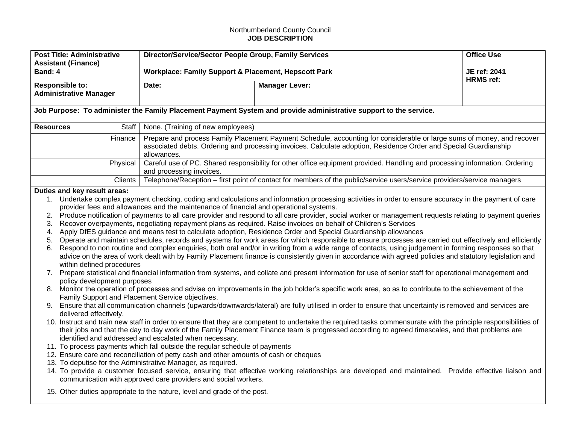## Northumberland County Council **JOB DESCRIPTION**

| <b>Post Title: Administrative</b><br><b>Assistant (Finance)</b>                                                                                                                                            | Director/Service/Sector People Group, Family Services                                                                                                                                                                                                                                                                                                                                                                                                                                                                                  |                                                                                                                                                                                                                                                                                                                                                                                                                                                                                                                                                                                                                                                                                                                                                                                                                                                                                                                                                                                                                                                                                                                                                                                                                                                                                                                                                                                                                                                                                                                                                                                                                                                                                                                                                                                                                                                                                                                                                                                                        | <b>Office Use</b> |  |  |
|------------------------------------------------------------------------------------------------------------------------------------------------------------------------------------------------------------|----------------------------------------------------------------------------------------------------------------------------------------------------------------------------------------------------------------------------------------------------------------------------------------------------------------------------------------------------------------------------------------------------------------------------------------------------------------------------------------------------------------------------------------|--------------------------------------------------------------------------------------------------------------------------------------------------------------------------------------------------------------------------------------------------------------------------------------------------------------------------------------------------------------------------------------------------------------------------------------------------------------------------------------------------------------------------------------------------------------------------------------------------------------------------------------------------------------------------------------------------------------------------------------------------------------------------------------------------------------------------------------------------------------------------------------------------------------------------------------------------------------------------------------------------------------------------------------------------------------------------------------------------------------------------------------------------------------------------------------------------------------------------------------------------------------------------------------------------------------------------------------------------------------------------------------------------------------------------------------------------------------------------------------------------------------------------------------------------------------------------------------------------------------------------------------------------------------------------------------------------------------------------------------------------------------------------------------------------------------------------------------------------------------------------------------------------------------------------------------------------------------------------------------------------------|-------------------|--|--|
| Band: 4                                                                                                                                                                                                    | Workplace: Family Support & Placement, Hepscott Park                                                                                                                                                                                                                                                                                                                                                                                                                                                                                   |                                                                                                                                                                                                                                                                                                                                                                                                                                                                                                                                                                                                                                                                                                                                                                                                                                                                                                                                                                                                                                                                                                                                                                                                                                                                                                                                                                                                                                                                                                                                                                                                                                                                                                                                                                                                                                                                                                                                                                                                        | JE ref: 2041      |  |  |
| <b>Responsible to:</b><br><b>Administrative Manager</b>                                                                                                                                                    | Date:                                                                                                                                                                                                                                                                                                                                                                                                                                                                                                                                  | <b>Manager Lever:</b>                                                                                                                                                                                                                                                                                                                                                                                                                                                                                                                                                                                                                                                                                                                                                                                                                                                                                                                                                                                                                                                                                                                                                                                                                                                                                                                                                                                                                                                                                                                                                                                                                                                                                                                                                                                                                                                                                                                                                                                  | <b>HRMS</b> ref:  |  |  |
| Job Purpose: To administer the Family Placement Payment System and provide administrative support to the service.                                                                                          |                                                                                                                                                                                                                                                                                                                                                                                                                                                                                                                                        |                                                                                                                                                                                                                                                                                                                                                                                                                                                                                                                                                                                                                                                                                                                                                                                                                                                                                                                                                                                                                                                                                                                                                                                                                                                                                                                                                                                                                                                                                                                                                                                                                                                                                                                                                                                                                                                                                                                                                                                                        |                   |  |  |
| <b>Resources</b><br>Staff                                                                                                                                                                                  | None. (Training of new employees)                                                                                                                                                                                                                                                                                                                                                                                                                                                                                                      |                                                                                                                                                                                                                                                                                                                                                                                                                                                                                                                                                                                                                                                                                                                                                                                                                                                                                                                                                                                                                                                                                                                                                                                                                                                                                                                                                                                                                                                                                                                                                                                                                                                                                                                                                                                                                                                                                                                                                                                                        |                   |  |  |
| Finance                                                                                                                                                                                                    | allowances.                                                                                                                                                                                                                                                                                                                                                                                                                                                                                                                            | Prepare and process Family Placement Payment Schedule, accounting for considerable or large sums of money, and recover<br>associated debts. Ordering and processing invoices. Calculate adoption, Residence Order and Special Guardianship                                                                                                                                                                                                                                                                                                                                                                                                                                                                                                                                                                                                                                                                                                                                                                                                                                                                                                                                                                                                                                                                                                                                                                                                                                                                                                                                                                                                                                                                                                                                                                                                                                                                                                                                                             |                   |  |  |
| Physical                                                                                                                                                                                                   | and processing invoices.                                                                                                                                                                                                                                                                                                                                                                                                                                                                                                               | Careful use of PC. Shared responsibility for other office equipment provided. Handling and processing information. Ordering                                                                                                                                                                                                                                                                                                                                                                                                                                                                                                                                                                                                                                                                                                                                                                                                                                                                                                                                                                                                                                                                                                                                                                                                                                                                                                                                                                                                                                                                                                                                                                                                                                                                                                                                                                                                                                                                            |                   |  |  |
| Clients                                                                                                                                                                                                    |                                                                                                                                                                                                                                                                                                                                                                                                                                                                                                                                        | Telephone/Reception – first point of contact for members of the public/service users/service providers/service managers                                                                                                                                                                                                                                                                                                                                                                                                                                                                                                                                                                                                                                                                                                                                                                                                                                                                                                                                                                                                                                                                                                                                                                                                                                                                                                                                                                                                                                                                                                                                                                                                                                                                                                                                                                                                                                                                                |                   |  |  |
| Duties and key result areas:<br>2.<br>3.<br>4.<br>5.<br>6.<br>within defined procedures<br>policy development purposes<br>Family Support and Placement Service objectives.<br>9.<br>delivered effectively. | provider fees and allowances and the maintenance of financial and operational systems.<br>identified and addressed and escalated when necessary.<br>11. To process payments which fall outside the regular schedule of payments<br>12. Ensure care and reconciliation of petty cash and other amounts of cash or cheques<br>13. To deputise for the Administrative Manager, as required.<br>communication with approved care providers and social workers.<br>15. Other duties appropriate to the nature, level and grade of the post. | 1. Undertake complex payment checking, coding and calculations and information processing activities in order to ensure accuracy in the payment of care<br>Produce notification of payments to all care provider and respond to all care provider, social worker or management requests relating to payment queries<br>Recover overpayments, negotiating repayment plans as required. Raise invoices on behalf of Children's Services<br>Apply DfES guidance and means test to calculate adoption, Residence Order and Special Guardianship allowances<br>Operate and maintain schedules, records and systems for work areas for which responsible to ensure processes are carried out effectively and efficiently<br>Respond to non routine and complex enquiries, both oral and/or in writing from a wide range of contacts, using judgement in forming responses so that<br>advice on the area of work dealt with by Family Placement finance is consistently given in accordance with agreed policies and statutory legislation and<br>7. Prepare statistical and financial information from systems, and collate and present information for use of senior staff for operational management and<br>8. Monitor the operation of processes and advise on improvements in the job holder's specific work area, so as to contribute to the achievement of the<br>Ensure that all communication channels (upwards/downwards/lateral) are fully utilised in order to ensure that uncertainty is removed and services are<br>10. Instruct and train new staff in order to ensure that they are competent to undertake the required tasks commensurate with the principle responsibilities of<br>their jobs and that the day to day work of the Family Placement Finance team is progressed according to agreed timescales, and that problems are<br>14. To provide a customer focused service, ensuring that effective working relationships are developed and maintained. Provide effective liaison and |                   |  |  |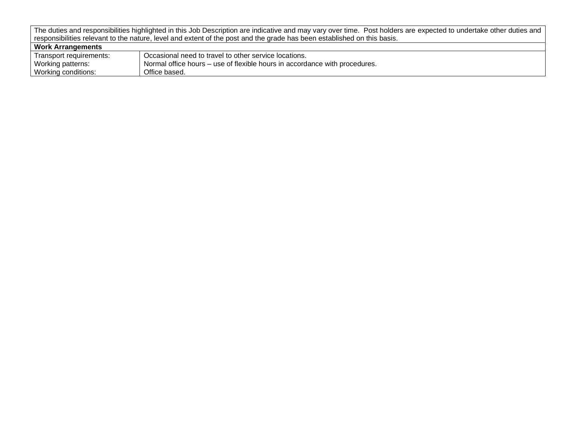| Work Arrangements       |                                                                            |
|-------------------------|----------------------------------------------------------------------------|
| Transport requirements: | Occasional need to travel to other service locations.                      |
| Working patterns:       | Normal office hours – use of flexible hours in accordance with procedures. |
| Working conditions:     | Office based.                                                              |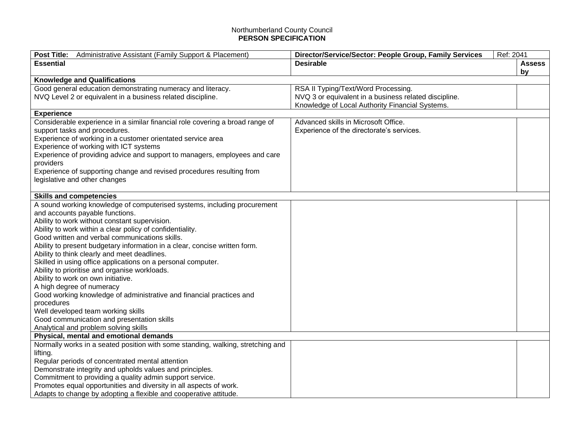## Northumberland County Council **PERSON SPECIFICATION**

| Administrative Assistant (Family Support & Placement)<br><b>Post Title:</b>        | Ref: 2041<br>Director/Service/Sector: People Group, Family Services |               |
|------------------------------------------------------------------------------------|---------------------------------------------------------------------|---------------|
| <b>Essential</b>                                                                   | <b>Desirable</b>                                                    | <b>Assess</b> |
|                                                                                    |                                                                     | by            |
| <b>Knowledge and Qualifications</b>                                                |                                                                     |               |
| Good general education demonstrating numeracy and literacy.                        | RSA II Typing/Text/Word Processing.                                 |               |
| NVQ Level 2 or equivalent in a business related discipline.                        | NVQ 3 or equivalent in a business related discipline.               |               |
|                                                                                    | Knowledge of Local Authority Financial Systems.                     |               |
| <b>Experience</b>                                                                  |                                                                     |               |
| Considerable experience in a similar financial role covering a broad range of      | Advanced skills in Microsoft Office.                                |               |
| support tasks and procedures.                                                      | Experience of the directorate's services.                           |               |
| Experience of working in a customer orientated service area                        |                                                                     |               |
| Experience of working with ICT systems                                             |                                                                     |               |
| Experience of providing advice and support to managers, employees and care         |                                                                     |               |
| providers                                                                          |                                                                     |               |
| Experience of supporting change and revised procedures resulting from              |                                                                     |               |
| legislative and other changes                                                      |                                                                     |               |
|                                                                                    |                                                                     |               |
| <b>Skills and competencies</b>                                                     |                                                                     |               |
| A sound working knowledge of computerised systems, including procurement           |                                                                     |               |
| and accounts payable functions.                                                    |                                                                     |               |
| Ability to work without constant supervision.                                      |                                                                     |               |
| Ability to work within a clear policy of confidentiality.                          |                                                                     |               |
| Good written and verbal communications skills.                                     |                                                                     |               |
| Ability to present budgetary information in a clear, concise written form.         |                                                                     |               |
| Ability to think clearly and meet deadlines.                                       |                                                                     |               |
| Skilled in using office applications on a personal computer.                       |                                                                     |               |
| Ability to prioritise and organise workloads.                                      |                                                                     |               |
| Ability to work on own initiative.                                                 |                                                                     |               |
| A high degree of numeracy                                                          |                                                                     |               |
| Good working knowledge of administrative and financial practices and<br>procedures |                                                                     |               |
| Well developed team working skills                                                 |                                                                     |               |
| Good communication and presentation skills                                         |                                                                     |               |
| Analytical and problem solving skills                                              |                                                                     |               |
| Physical, mental and emotional demands                                             |                                                                     |               |
| Normally works in a seated position with some standing, walking, stretching and    |                                                                     |               |
| lifting.                                                                           |                                                                     |               |
| Regular periods of concentrated mental attention                                   |                                                                     |               |
| Demonstrate integrity and upholds values and principles.                           |                                                                     |               |
| Commitment to providing a quality admin support service.                           |                                                                     |               |
| Promotes equal opportunities and diversity in all aspects of work.                 |                                                                     |               |
| Adapts to change by adopting a flexible and cooperative attitude.                  |                                                                     |               |